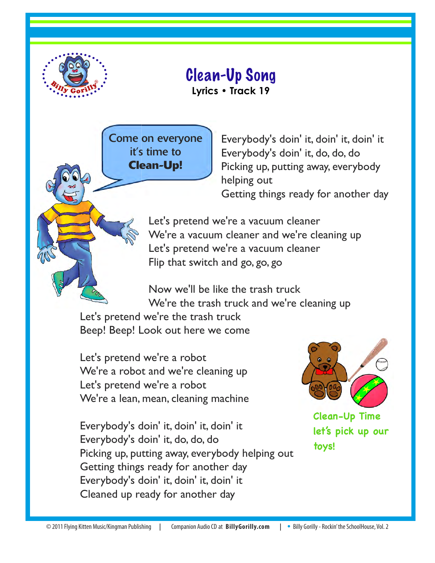

## Clean-Up Song

**Lyrics • Track 19** 

Come on everyone it's time to **Clean-Up!**

Everybody's doin' it, doin' it, doin' it Everybody's doin' it, do, do, do Picking up, putting away, everybody helping out Getting things ready for another day

Let's pretend we're a vacuum cleaner We're a vacuum cleaner and we're cleaning up Let's pretend we're a vacuum cleaner Flip that switch and go, go, go

Now we'll be like the trash truck We're the trash truck and we're cleaning up

Let's pretend we're the trash truck Beep! Beep! Look out here we come

Let's pretend we're a robot We're a robot and we're cleaning up Let's pretend we're a robot We're a lean, mean, cleaning machine

Everybody's doin' it, doin' it, doin' it Everybody's doin' it, do, do, do Picking up, putting away, everybody helping out Getting things ready for another day Everybody's doin' it, doin' it, doin' it Cleaned up ready for another day



**Clean-Up Time let's pick up our toys!**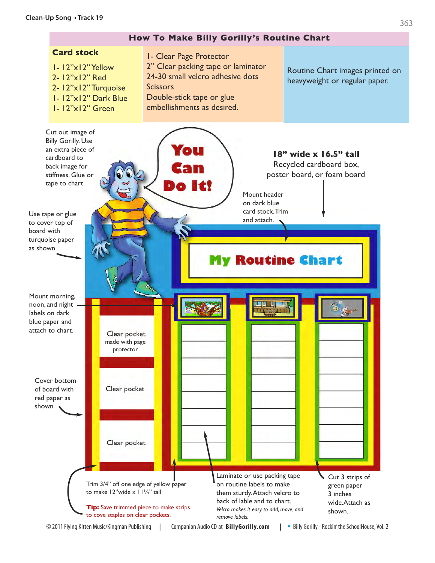## **Clean-Up Song • Track 19**

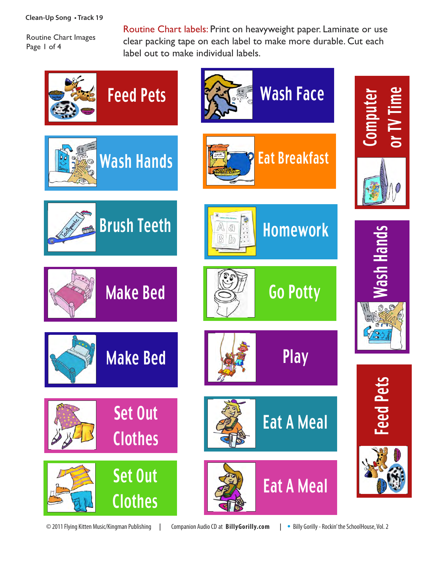## **Clean-Up Song • Track 19**

Routine Chart Images Page 1 of 4

Routine Chart labels: Print on heavyweight paper. Laminate or use clear packing tape on each label to make more durable. Cut each label out to make individual labels.



© 2011 Flying Kitten Music/Kingman Publishing **|** Companion Audio CD at **BillyGorilly.com | •** Billy Gorilly - Rockin' the SchoolHouse, Vol. 2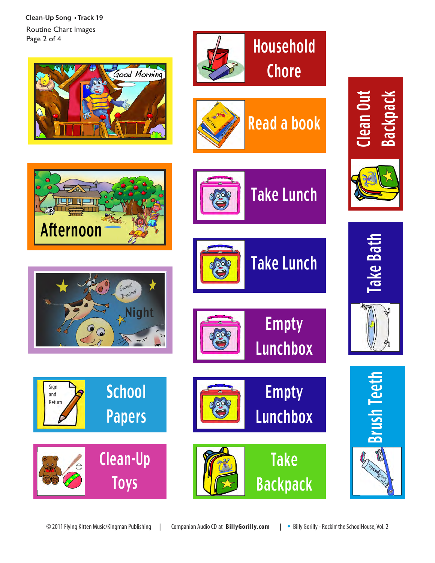**Clean-Up Song • Track 19** Routine Chart Images Page 2 of 4









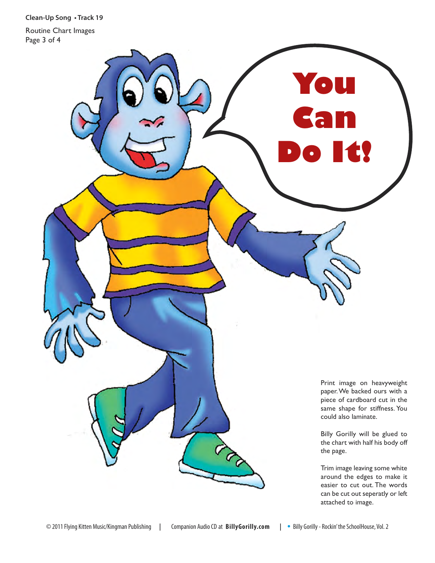**Clean-Up Song • Track 19**

Routine Chart Images Page 3 of 4

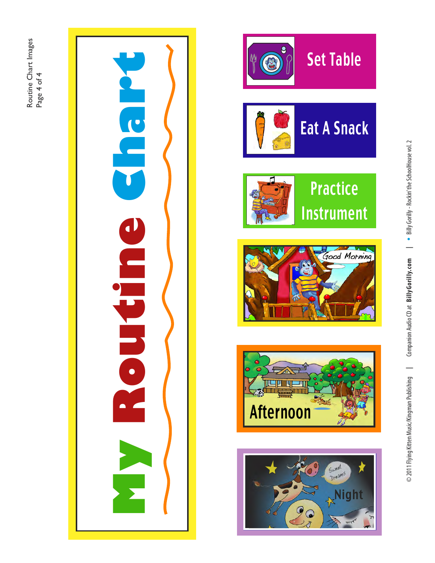











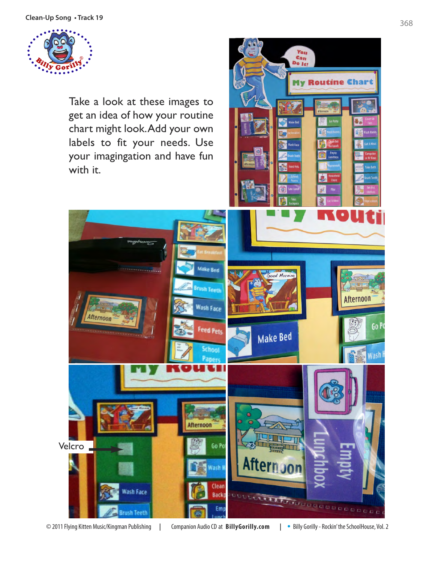

Take a look at these images to get an idea of how your routine chart might look. Add your own labels to fit your needs. Use your imagingation and have fun with it.